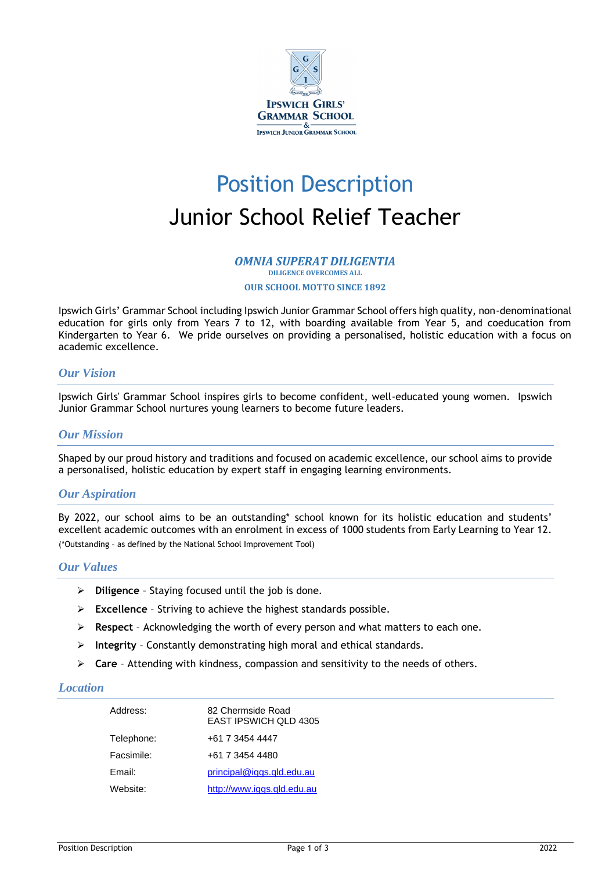

# Position Description Junior School Relief Teacher

#### *OMNIA SUPERAT DILIGENTIA* **DILIGENCE OVERCOMES ALL**

**OUR SCHOOL MOTTO SINCE 1892**

Ipswich Girls' Grammar School including Ipswich Junior Grammar School offers high quality, non-denominational education for girls only from Years 7 to 12, with boarding available from Year 5, and coeducation from Kindergarten to Year 6. We pride ourselves on providing a personalised, holistic education with a focus on academic excellence.

## *Our Vision*

Ipswich Girls' Grammar School inspires girls to become confident, well-educated young women. Ipswich Junior Grammar School nurtures young learners to become future leaders.

## *Our Mission*

Shaped by our proud history and traditions and focused on academic excellence, our school aims to provide a personalised, holistic education by expert staff in engaging learning environments.

## *Our Aspiration*

By 2022, our school aims to be an outstanding\* school known for its holistic education and students' excellent academic outcomes with an enrolment in excess of 1000 students from Early Learning to Year 12. (\*Outstanding – as defined by the National School Improvement Tool)

## *Our Values*

- ➢ **Diligence**  Staying focused until the job is done.
- ➢ **Excellence** Striving to achieve the highest standards possible.
- ➢ **Respect**  Acknowledging the worth of every person and what matters to each one.
- ➢ **Integrity** Constantly demonstrating high moral and ethical standards.
- ➢ **Care** Attending with kindness, compassion and sensitivity to the needs of others.

## *Location*

| Address:   | 82 Chermside Road<br>EAST IPSWICH QLD 4305 |  |
|------------|--------------------------------------------|--|
| Telephone: | +61 7 3454 4447                            |  |
| Facsimile: | +61 7 3454 4480                            |  |
| Email:     | principal@iggs.qld.edu.au                  |  |
| Website:   | http://www.iggs.gld.edu.au                 |  |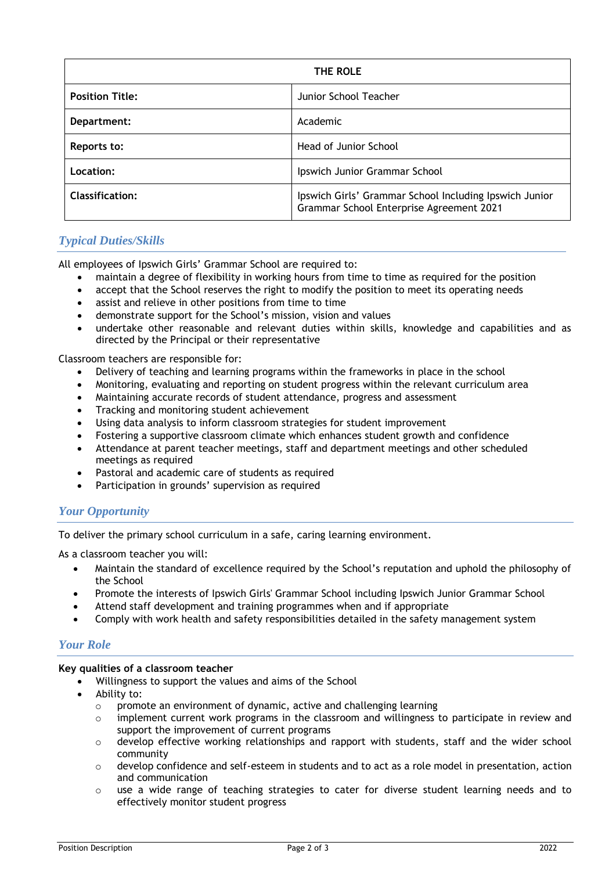| THE ROLE               |                                                                                                    |  |
|------------------------|----------------------------------------------------------------------------------------------------|--|
| <b>Position Title:</b> | Junior School Teacher                                                                              |  |
| Department:            | Academic                                                                                           |  |
| Reports to:            | Head of Junior School                                                                              |  |
| Location:              | Ipswich Junior Grammar School                                                                      |  |
| <b>Classification:</b> | Ipswich Girls' Grammar School Including Ipswich Junior<br>Grammar School Enterprise Agreement 2021 |  |

## *Typical Duties/Skills*

All employees of Ipswich Girls' Grammar School are required to:

- maintain a degree of flexibility in working hours from time to time as required for the position
- accept that the School reserves the right to modify the position to meet its operating needs
- assist and relieve in other positions from time to time
- demonstrate support for the School's mission, vision and values
- undertake other reasonable and relevant duties within skills, knowledge and capabilities and as directed by the Principal or their representative

Classroom teachers are responsible for:

- Delivery of teaching and learning programs within the frameworks in place in the school
- Monitoring, evaluating and reporting on student progress within the relevant curriculum area
- Maintaining accurate records of student attendance, progress and assessment
- Tracking and monitoring student achievement
- Using data analysis to inform classroom strategies for student improvement
- Fostering a supportive classroom climate which enhances student growth and confidence
- Attendance at parent teacher meetings, staff and department meetings and other scheduled meetings as required
- Pastoral and academic care of students as required
- Participation in grounds' supervision as required

## *Your Opportunity*

To deliver the primary school curriculum in a safe, caring learning environment.

As a classroom teacher you will:

- Maintain the standard of excellence required by the School's reputation and uphold the philosophy of the School
- Promote the interests of Ipswich Girls' Grammar School including Ipswich Junior Grammar School
- Attend staff development and training programmes when and if appropriate
- Comply with work health and safety responsibilities detailed in the safety management system

## *Your Role*

## **Key qualities of a classroom teacher**

- Willingness to support the values and aims of the School
- Ability to:
	- o promote an environment of dynamic, active and challenging learning
	- o implement current work programs in the classroom and willingness to participate in review and support the improvement of current programs
	- $\circ$  develop effective working relationships and rapport with students, staff and the wider school community
	- $\circ$  develop confidence and self-esteem in students and to act as a role model in presentation, action and communication
	- $\circ$  use a wide range of teaching strategies to cater for diverse student learning needs and to effectively monitor student progress